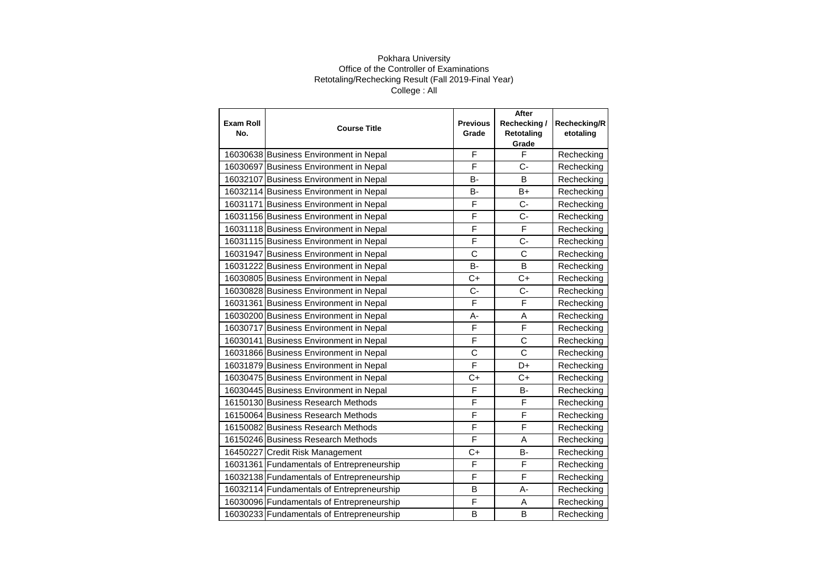| <b>Exam Roll</b><br>No. | <b>Course Title</b>                       | <b>Previous</b> | After<br>Rechecking/ | Rechecking/R |
|-------------------------|-------------------------------------------|-----------------|----------------------|--------------|
|                         |                                           | Grade           | Retotaling<br>Grade  | etotaling    |
|                         | 16030638 Business Environment in Nepal    | F               | F                    | Rechecking   |
|                         | 16030697 Business Environment in Nepal    | F               | $C-$                 | Rechecking   |
|                         | 16032107 Business Environment in Nepal    | B-              | B                    | Rechecking   |
|                         | 16032114 Business Environment in Nepal    | <b>B-</b>       | $B+$                 | Rechecking   |
|                         | 16031171 Business Environment in Nepal    | F               | $C -$                | Rechecking   |
|                         | 16031156 Business Environment in Nepal    | F               | $C -$                | Rechecking   |
|                         | 16031118 Business Environment in Nepal    | F               | F                    | Rechecking   |
|                         | 16031115 Business Environment in Nepal    | F               | $C -$                | Rechecking   |
|                         | 16031947 Business Environment in Nepal    | $\mathbf C$     | C                    | Rechecking   |
|                         | 16031222 Business Environment in Nepal    | <b>B-</b>       | B                    | Rechecking   |
|                         | 16030805 Business Environment in Nepal    | $C+$            | $C+$                 | Rechecking   |
|                         | 16030828 Business Environment in Nepal    | $C -$           | $C -$                | Rechecking   |
|                         | 16031361 Business Environment in Nepal    | F               | F                    | Rechecking   |
|                         | 16030200 Business Environment in Nepal    | A-              | A                    | Rechecking   |
|                         | 16030717 Business Environment in Nepal    | F               | F                    | Rechecking   |
|                         | 16030141 Business Environment in Nepal    | F               | $\mathbf C$          | Rechecking   |
|                         | 16031866 Business Environment in Nepal    | C               | Ċ                    | Rechecking   |
|                         | 16031879 Business Environment in Nepal    | F               | D+                   | Rechecking   |
|                         | 16030475 Business Environment in Nepal    | $C+$            | $C+$                 | Rechecking   |
|                         | 16030445 Business Environment in Nepal    | F               | <b>B-</b>            | Rechecking   |
|                         | 16150130 Business Research Methods        | F               | F                    | Rechecking   |
|                         | 16150064 Business Research Methods        | F               | F                    | Rechecking   |
|                         | 16150082 Business Research Methods        | F               | F                    | Rechecking   |
|                         | 16150246 Business Research Methods        | F               | A                    | Rechecking   |
|                         | 16450227 Credit Risk Management           | $C+$            | B-                   | Rechecking   |
|                         | 16031361 Fundamentals of Entrepreneurship | F               | F                    | Rechecking   |
|                         | 16032138 Fundamentals of Entrepreneurship | F               | F                    | Rechecking   |
|                         | 16032114 Fundamentals of Entrepreneurship | B               | А-                   | Rechecking   |
|                         | 16030096 Fundamentals of Entrepreneurship | F               | Α                    | Rechecking   |
|                         | 16030233 Fundamentals of Entrepreneurship | B               | B                    | Rechecking   |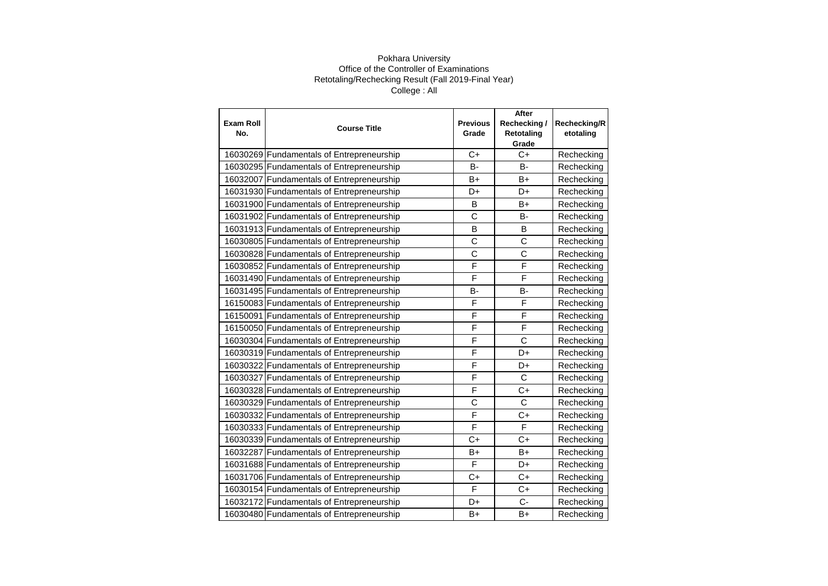| <b>Exam Roll</b><br>No. | <b>Course Title</b>                       | <b>Previous</b><br>Grade | After<br>Rechecking/<br>Retotaling | Rechecking/R<br>etotaling |
|-------------------------|-------------------------------------------|--------------------------|------------------------------------|---------------------------|
|                         |                                           |                          | Grade                              |                           |
|                         | 16030269 Fundamentals of Entrepreneurship | $C+$                     | $C+$                               | Rechecking                |
|                         | 16030295 Fundamentals of Entrepreneurship | $B -$                    | B-                                 | Rechecking                |
|                         | 16032007 Fundamentals of Entrepreneurship | B+                       | B+                                 | Rechecking                |
|                         | 16031930 Fundamentals of Entrepreneurship | D+                       | D+                                 | Rechecking                |
|                         | 16031900 Fundamentals of Entrepreneurship | B                        | B+                                 | Rechecking                |
|                         | 16031902 Fundamentals of Entrepreneurship | C                        | B-                                 | Rechecking                |
|                         | 16031913 Fundamentals of Entrepreneurship | <sub>B</sub>             | <sub>B</sub>                       | Rechecking                |
|                         | 16030805 Fundamentals of Entrepreneurship | C                        | $\mathsf C$                        | Rechecking                |
|                         | 16030828 Fundamentals of Entrepreneurship | C                        | $\mathsf{C}$                       | Rechecking                |
|                         | 16030852 Fundamentals of Entrepreneurship | $\overline{\mathsf{F}}$  | F                                  | Rechecking                |
|                         | 16031490 Fundamentals of Entrepreneurship | F                        | F                                  | Rechecking                |
|                         | 16031495 Fundamentals of Entrepreneurship | B-                       | B-                                 | Rechecking                |
|                         | 16150083 Fundamentals of Entrepreneurship | F                        | F                                  | Rechecking                |
|                         | 16150091 Fundamentals of Entrepreneurship | $\overline{\mathsf{F}}$  | F                                  | Rechecking                |
|                         | 16150050 Fundamentals of Entrepreneurship | F                        | F                                  | Rechecking                |
|                         | 16030304 Fundamentals of Entrepreneurship | F                        | $\mathsf{C}$                       | Rechecking                |
|                         | 16030319 Fundamentals of Entrepreneurship | F                        | D+                                 | Rechecking                |
|                         | 16030322 Fundamentals of Entrepreneurship | F                        | D+                                 | Rechecking                |
|                         | 16030327 Fundamentals of Entrepreneurship | F                        | $\mathsf{C}$                       | Rechecking                |
|                         | 16030328 Fundamentals of Entrepreneurship | F                        | $C+$                               | Rechecking                |
|                         | 16030329 Fundamentals of Entrepreneurship | C                        | $\mathsf{C}$                       | Rechecking                |
|                         | 16030332 Fundamentals of Entrepreneurship | F                        | $C+$                               | Rechecking                |
|                         | 16030333 Fundamentals of Entrepreneurship | F                        | F                                  | Rechecking                |
|                         | 16030339 Fundamentals of Entrepreneurship | $C+$                     | $C+$                               | Rechecking                |
|                         | 16032287 Fundamentals of Entrepreneurship | $B+$                     | B+                                 | Rechecking                |
|                         | 16031688 Fundamentals of Entrepreneurship | F                        | D+                                 | Rechecking                |
|                         | 16031706 Fundamentals of Entrepreneurship | $C+$                     | $C+$                               | Rechecking                |
|                         | 16030154 Fundamentals of Entrepreneurship | F                        | $C+$                               | Rechecking                |
|                         | 16032172 Fundamentals of Entrepreneurship | D+                       | C-                                 | Rechecking                |
|                         | 16030480 Fundamentals of Entrepreneurship | B+                       | B+                                 | Rechecking                |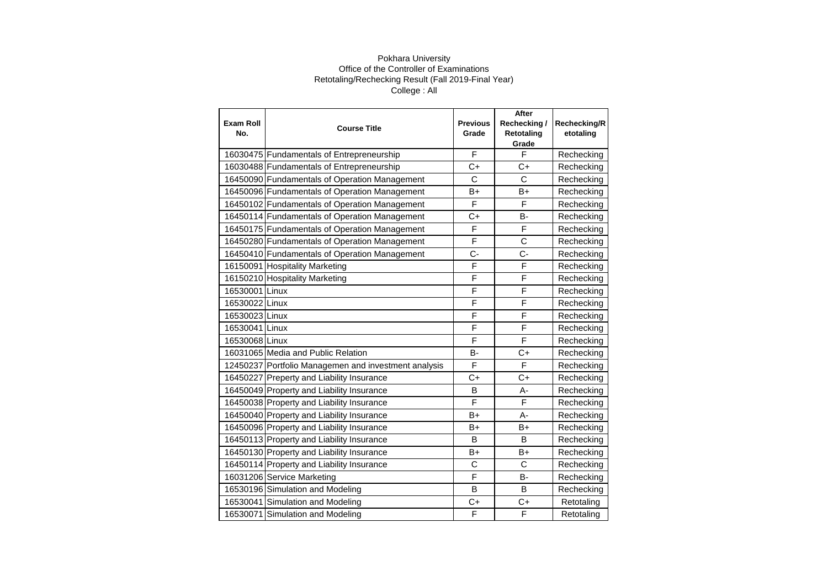| <b>Exam Roll</b><br>No. | <b>Course Title</b>                                  | <b>Previous</b><br>Grade | After<br>Rechecking/<br>Retotaling | Rechecking/R<br>etotaling |
|-------------------------|------------------------------------------------------|--------------------------|------------------------------------|---------------------------|
|                         |                                                      |                          | Grade                              |                           |
|                         | 16030475 Fundamentals of Entrepreneurship            | F                        | F                                  | Rechecking                |
|                         | 16030488 Fundamentals of Entrepreneurship            | C+                       | C+                                 | Rechecking                |
|                         | 16450090 Fundamentals of Operation Management        | C                        | C                                  | Rechecking                |
|                         | 16450096 Fundamentals of Operation Management        | B+                       | B+                                 | Rechecking                |
|                         | 16450102 Fundamentals of Operation Management        | F                        | F                                  | Rechecking                |
|                         | 16450114 Fundamentals of Operation Management        | $C+$                     | <b>B-</b>                          | Rechecking                |
|                         | 16450175 Fundamentals of Operation Management        | F                        | F                                  | Rechecking                |
|                         | 16450280 Fundamentals of Operation Management        | F                        | $\mathsf{C}$                       | Rechecking                |
|                         | 16450410 Fundamentals of Operation Management        | $C -$                    | $C -$                              | Rechecking                |
|                         | 16150091 Hospitality Marketing                       | F                        | F                                  | Rechecking                |
|                         | 16150210 Hospitality Marketing                       | F                        | F                                  | Rechecking                |
| 16530001 Linux          |                                                      | F                        | F                                  | Rechecking                |
| 16530022 Linux          |                                                      | F                        | F                                  | Rechecking                |
| 16530023 Linux          |                                                      | F                        | F                                  | Rechecking                |
| 16530041 Linux          |                                                      | F                        | F                                  | Rechecking                |
| 16530068 Linux          |                                                      | F                        | F                                  | Rechecking                |
|                         | 16031065 Media and Public Relation                   | <b>B-</b>                | $C+$                               | Rechecking                |
|                         | 12450237 Portfolio Managemen and investment analysis | F                        | F                                  | Rechecking                |
|                         | 16450227 Preperty and Liability Insurance            | $C+$                     | $C+$                               | Rechecking                |
|                         | 16450049 Property and Liability Insurance            | B                        | А-                                 | Rechecking                |
|                         | 16450038 Property and Liability Insurance            | F                        | F                                  | Rechecking                |
|                         | 16450040 Property and Liability Insurance            | B+                       | $A -$                              | Rechecking                |
|                         | 16450096 Property and Liability Insurance            | B+                       | B+                                 | Rechecking                |
|                         | 16450113 Property and Liability Insurance            | B                        | B                                  | Rechecking                |
|                         | 16450130 Property and Liability Insurance            | B+                       | B+                                 | Rechecking                |
|                         | 16450114 Property and Liability Insurance            | C                        | C                                  | Rechecking                |
|                         | 16031206 Service Marketing                           | F                        | <b>B-</b>                          | Rechecking                |
|                         | 16530196 Simulation and Modeling                     | B                        | B                                  | Rechecking                |
|                         | 16530041 Simulation and Modeling                     | C+                       | C+                                 | Retotaling                |
|                         | 16530071 Simulation and Modeling                     | F                        | F                                  | Retotaling                |